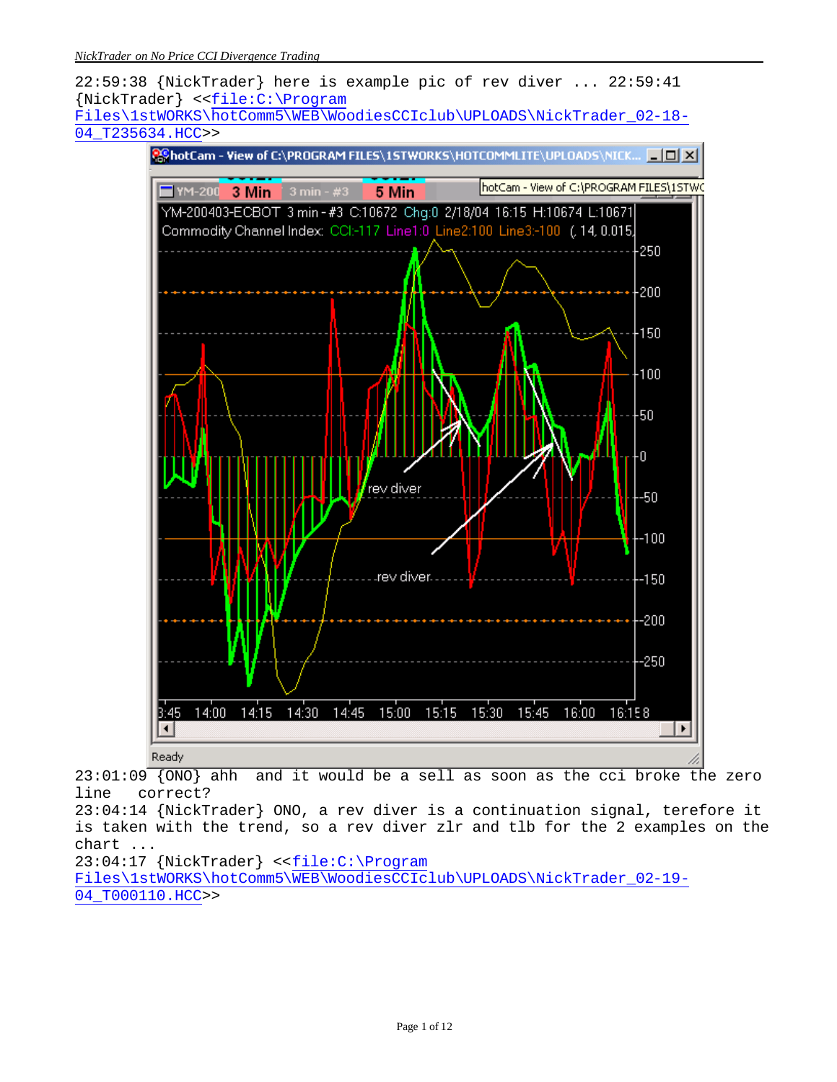

 $23:01:09$  {ONO} ahh and it would be a sell as soon as the cci broke the zero line correct?

23:04:14 {NickTrader} ONO, a rev diver is a continuation signal, terefore it is taken with the trend, so a rev diver zlr and tlb for the 2 examples on the chart ...

23:04:17 {NickTrader} <<file:C:\Program Files\1stWORKS\hotComm5\WEB\WoodiesCCIclub\UPLOADS\NickTrader\_02-19- 04\_T000110.HCC>>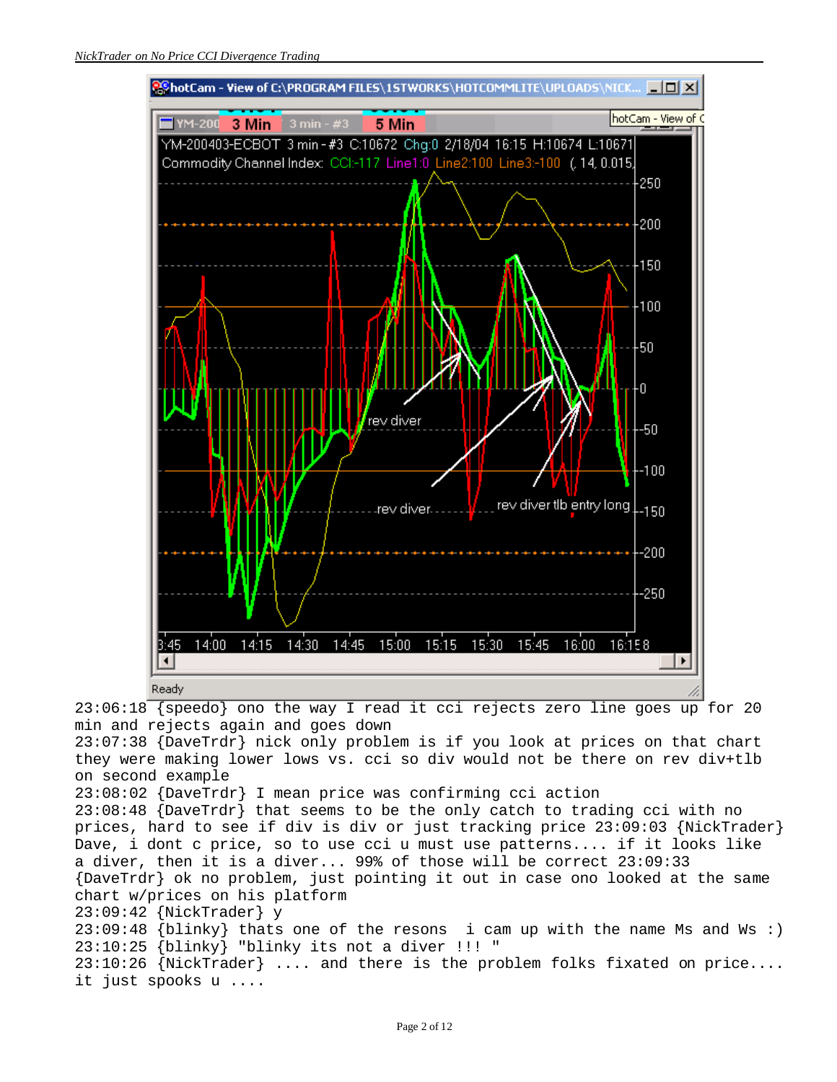

23:06:18 {speedo} ono the way I read it cci rejects zero line goes up for 20 min and rejects again and goes down

23:07:38 {DaveTrdr} nick only problem is if you look at prices on that chart they were making lower lows vs. cci so div would not be there on rev div+tlb on second example

23:08:02 {DaveTrdr} I mean price was confirming cci action

23:08:48 {DaveTrdr} that seems to be the only catch to trading cci with no prices, hard to see if div is div or just tracking price 23:09:03 {NickTrader} Dave, i dont c price, so to use cci u must use patterns.... if it looks like a diver, then it is a diver... 99% of those will be correct 23:09:33 {DaveTrdr} ok no problem, just pointing it out in case ono looked at the same chart w/prices on his platform 23:09:42 {NickTrader} y 23:09:48 {blinky} thats one of the resons i cam up with the name Ms and Ws :) 23:10:25 {blinky} "blinky its not a diver !!! " 23:10:26 {NickTrader} .... and there is the problem folks fixated on price.... it just spooks u ....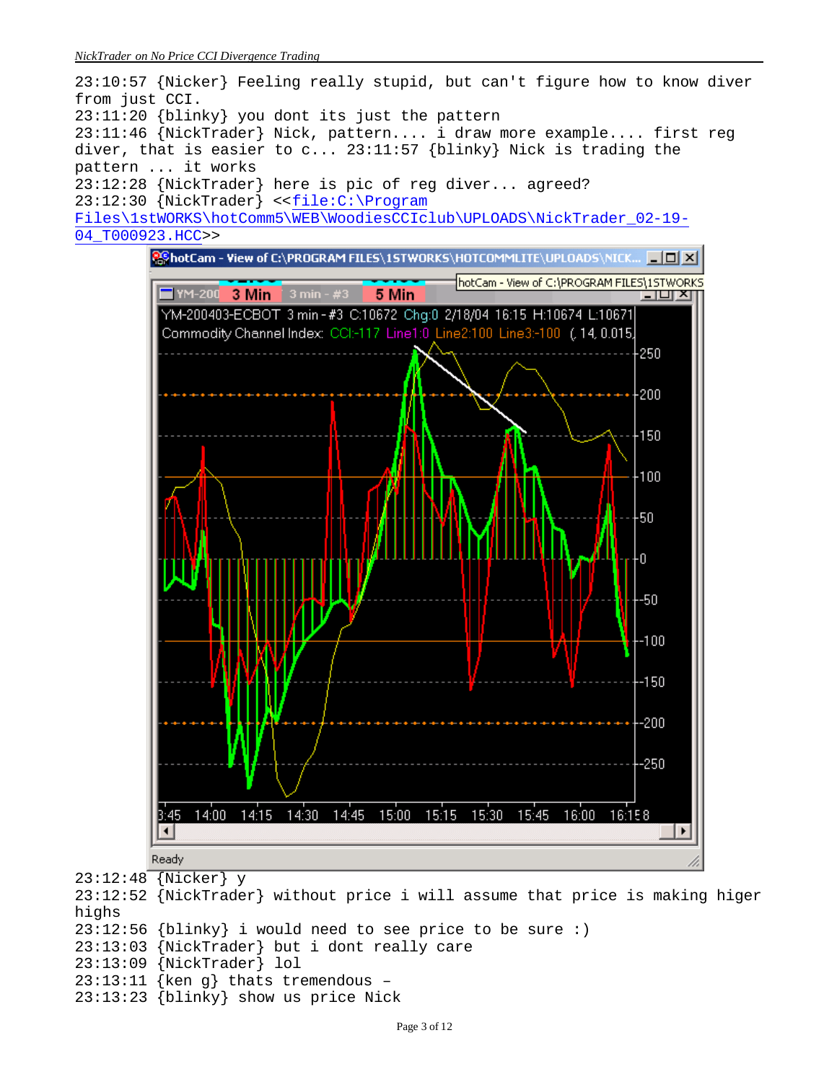

23:12:52 {NickTrader} without price i will assume that price is making higer highs 23:12:56 {blinky} i would need to see price to be sure :) 23:13:03 {NickTrader} but i dont really care 23:13:09 {NickTrader} lol 23:13:11 {ken g} thats tremendous – 23:13:23 {blinky} show us price Nick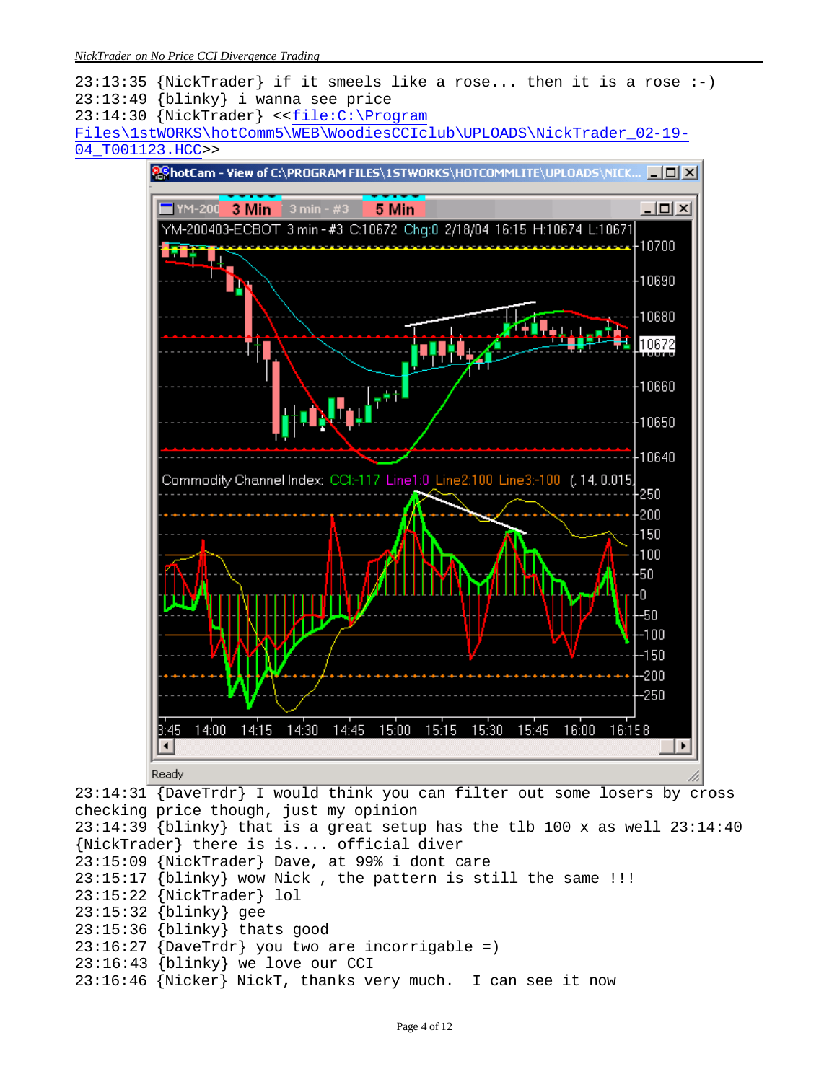*NickTrader on No Price CCI Divergence Trading*



{NickTrader} there is is.... official diver 23:15:09 {NickTrader} Dave, at 99% i dont care  $23:15:17$  {blinky} wow Nick, the pattern is still the same !!! 23:15:22 {NickTrader} lol 23:15:32 {blinky} gee 23:15:36 {blinky} thats good

- $23:16:27$  {DaveTrdr} you two are incorrigable =)
- 23:16:43 {blinky} we love our CCI
- 23:16:46 {Nicker} NickT, thanks very much. I can see it now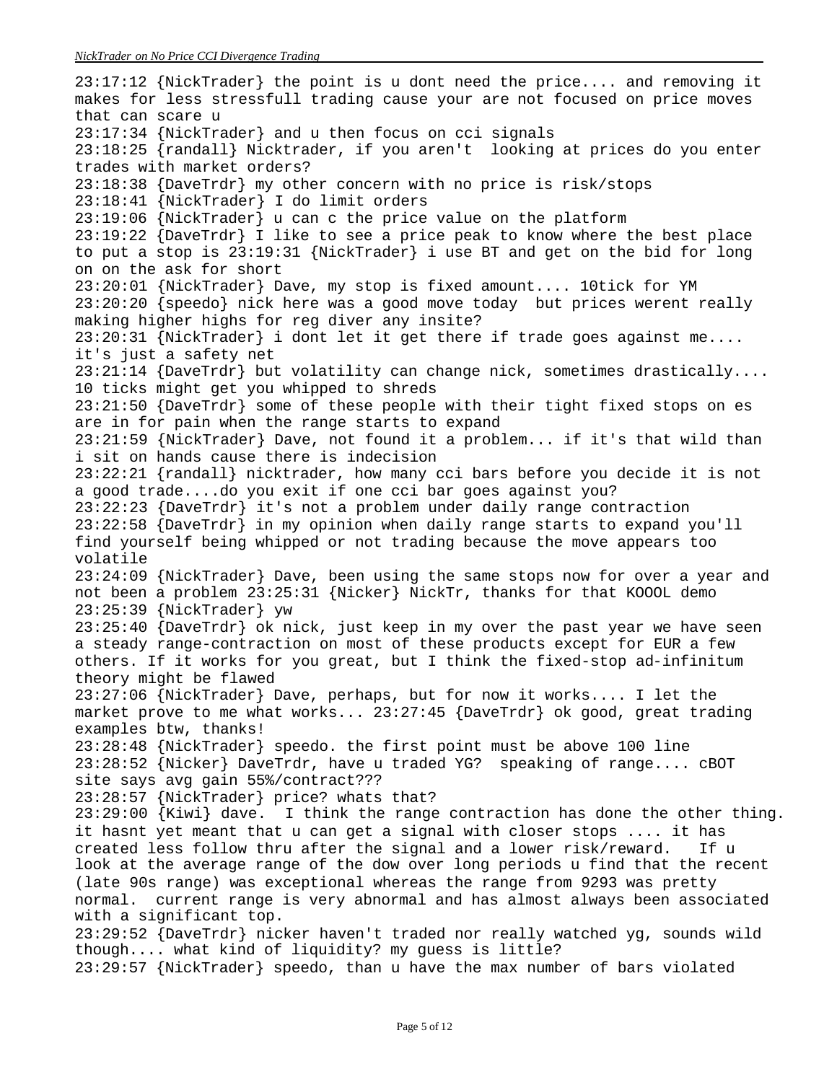23:17:12 {NickTrader} the point is u dont need the price.... and removing it makes for less stressfull trading cause your are not focused on price moves that can scare u 23:17:34 {NickTrader} and u then focus on cci signals 23:18:25 {randall} Nicktrader, if you aren't looking at prices do you enter trades with market orders? 23:18:38 {DaveTrdr} my other concern with no price is risk/stops 23:18:41 {NickTrader} I do limit orders 23:19:06 {NickTrader} u can c the price value on the platform 23:19:22 {DaveTrdr} I like to see a price peak to know where the best place to put a stop is 23:19:31 {NickTrader} i use BT and get on the bid for long on on the ask for short 23:20:01 {NickTrader} Dave, my stop is fixed amount.... 10tick for YM 23:20:20 {speedo} nick here was a good move today but prices werent really making higher highs for reg diver any insite? 23:20:31 {NickTrader} i dont let it get there if trade goes against me.... it's just a safety net 23:21:14 {DaveTrdr} but volatility can change nick, sometimes drastically.... 10 ticks might get you whipped to shreds 23:21:50 {DaveTrdr} some of these people with their tight fixed stops on es are in for pain when the range starts to expand 23:21:59 {NickTrader} Dave, not found it a problem... if it's that wild than i sit on hands cause there is indecision 23:22:21 {randall} nicktrader, how many cci bars before you decide it is not a good trade....do you exit if one cci bar goes against you? 23:22:23 {DaveTrdr} it's not a problem under daily range contraction 23:22:58 {DaveTrdr} in my opinion when daily range starts to expand you'll find yourself being whipped or not trading because the move appears too volatile 23:24:09 {NickTrader} Dave, been using the same stops now for over a year and not been a problem 23:25:31 {Nicker} NickTr, thanks for that KOOOL demo 23:25:39 {NickTrader} yw 23:25:40 {DaveTrdr} ok nick, just keep in my over the past year we have seen a steady range-contraction on most of these products except for EUR a few others. If it works for you great, but I think the fixed-stop ad-infinitum theory might be flawed 23:27:06 {NickTrader} Dave, perhaps, but for now it works.... I let the market prove to me what works... 23:27:45 {DaveTrdr} ok good, great trading examples btw, thanks! 23:28:48 {NickTrader} speedo. the first point must be above 100 line 23:28:52 {Nicker} DaveTrdr, have u traded YG? speaking of range.... cBOT site says avg gain 55%/contract??? 23:28:57 {NickTrader} price? whats that? 23:29:00 {Kiwi} dave. I think the range contraction has done the other thing. it hasnt yet meant that u can get a signal with closer stops .... it has created less follow thru after the signal and a lower risk/reward. If u look at the average range of the dow over long periods u find that the recent (late 90s range) was exceptional whereas the range from 9293 was pretty normal. current range is very abnormal and has almost always been associated with a significant top. 23:29:52 {DaveTrdr} nicker haven't traded nor really watched yg, sounds wild though.... what kind of liquidity? my guess is little? 23:29:57 {NickTrader} speedo, than u have the max number of bars violated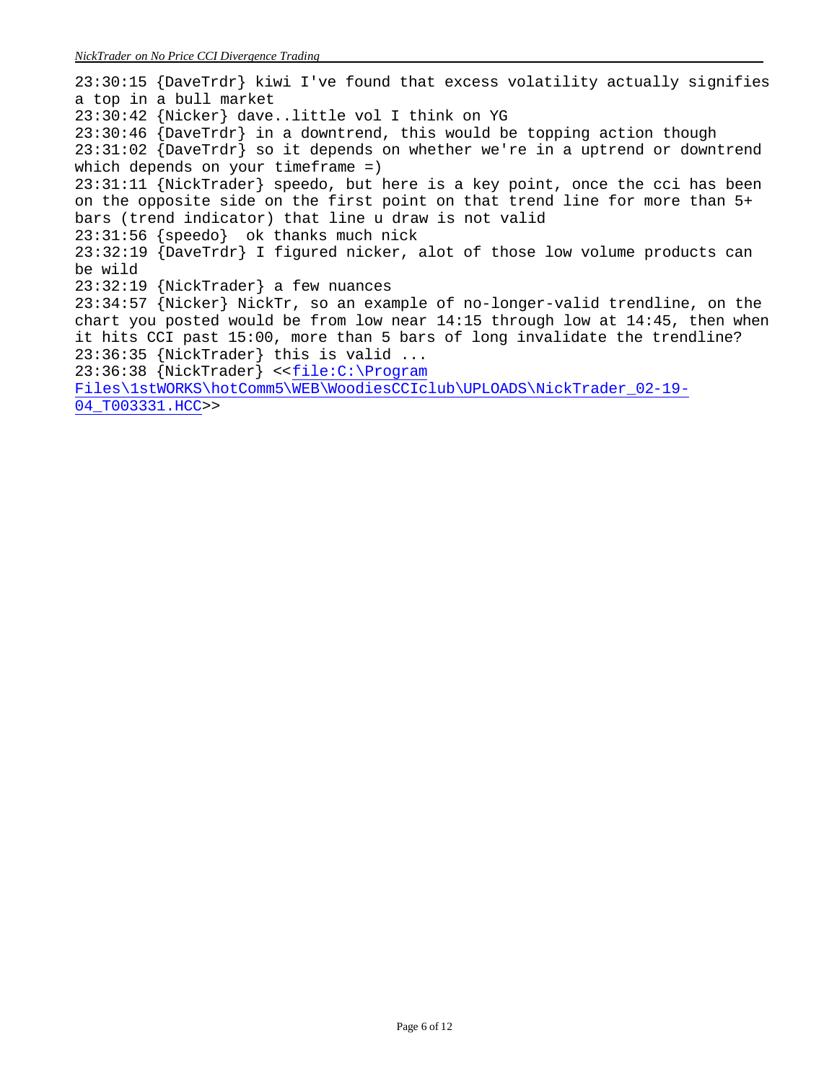23:30:15 {DaveTrdr} kiwi I've found that excess volatility actually signifies a top in a bull market 23:30:42 {Nicker} dave..little vol I think on YG 23:30:46 {DaveTrdr} in a downtrend, this would be topping action though  $23:31:02$  {DaveTrdr} so it depends on whether we're in a uptrend or downtrend which depends on your timeframe =) 23:31:11 {NickTrader} speedo, but here is a key point, once the cci has been on the opposite side on the first point on that trend line for more than 5+ bars (trend indicator) that line u draw is not valid 23:31:56 {speedo} ok thanks much nick 23:32:19 {DaveTrdr} I figured nicker, alot of those low volume products can be wild 23:32:19 {NickTrader} a few nuances 23:34:57 {Nicker} NickTr, so an example of no-longer-valid trendline, on the chart you posted would be from low near 14:15 through low at 14:45, then when it hits CCI past 15:00, more than 5 bars of long invalidate the trendline? 23:36:35 {NickTrader} this is valid ... 23:36:38 {NickTrader} <<file:C:\Program Files\1stWORKS\hotComm5\WEB\WoodiesCCIclub\UPLOADS\NickTrader\_02-19- 04\_T003331.HCC>>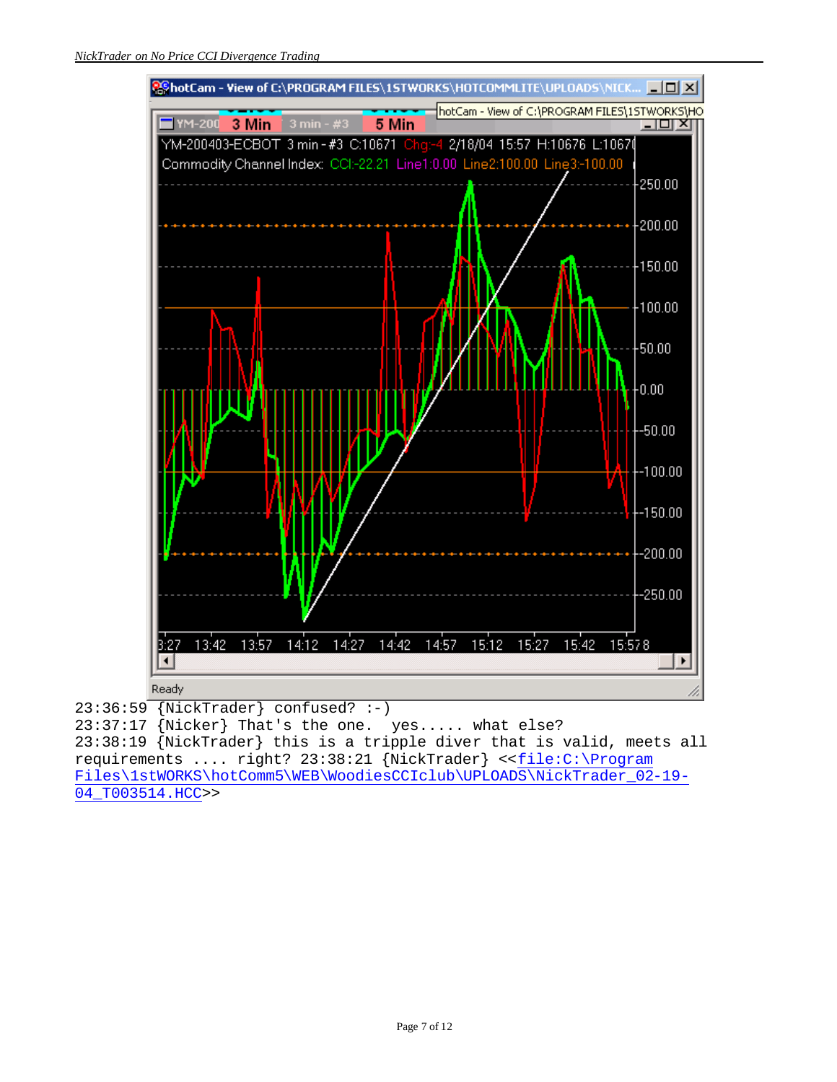

23:36:59 {NickTrader} confused? :-) 23:37:17 {Nicker} That's the one. yes..... what else? 23:38:19 {NickTrader} this is a tripple diver that is valid, meets all requirements .... right? 23:38:21 {NickTrader} <<file:C:\Program Files\1stWORKS\hotComm5\WEB\WoodiesCCIclub\UPLOADS\NickTrader\_02-19-04\_T003514.HCC>>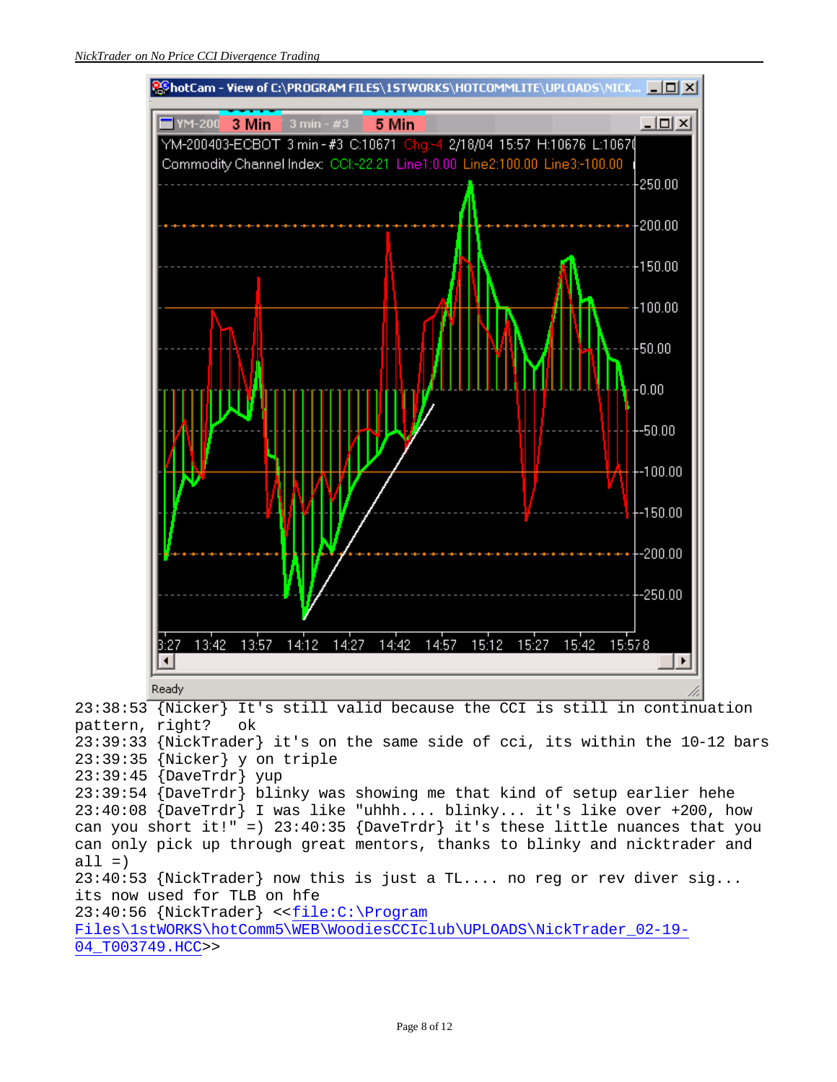

pattern, right? ok 23:39:33 {NickTrader} it's on the same side of cci, its within the 10-12 bars 23:39:35 {Nicker} y on triple 23:39:45 {DaveTrdr} yup 23:39:54 {DaveTrdr} blinky was showing me that kind of setup earlier hehe 23:40:08 {DaveTrdr} I was like "uhhh.... blinky... it's like over +200, how can you short it!" =)  $23:40:35$  {DaveTrdr} it's these little nuances that you can only pick up through great mentors, thanks to blinky and nicktrader and  $all =)$ 23:40:53 {NickTrader} now this is just a TL.... no reg or rev diver sig... its now used for TLB on hfe 23:40:56 {NickTrader} <<file:C:\Program Files\1stWORKS\hotComm5\WEB\WoodiesCCIclub\UPLOADS\NickTrader\_02-19- 04\_T003749.HCC>>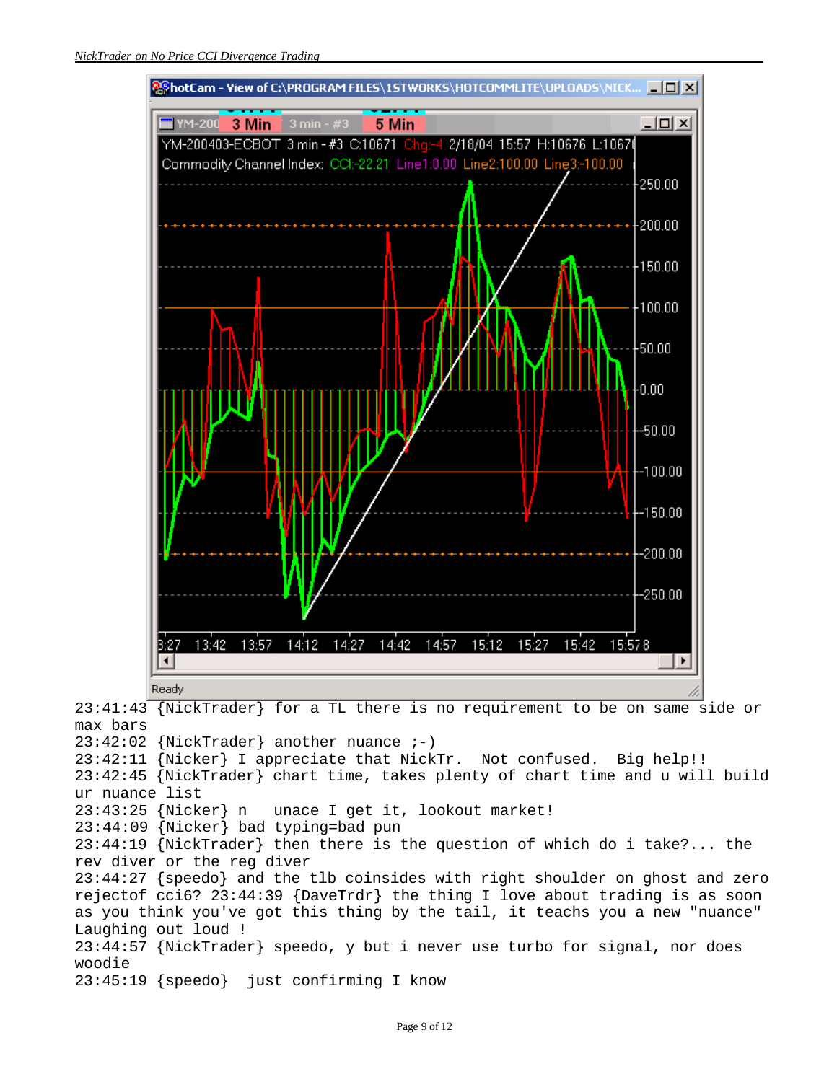

23:41:43 {NickTrader} for a TL there is no requirement to be on same side or max bars 23:42:02 {NickTrader} another nuance ;-) 23:42:11 {Nicker} I appreciate that NickTr. Not confused. Big help!! 23:42:45 {NickTrader} chart time, takes plenty of chart time and u will build ur nuance list 23:43:25 {Nicker} n unace I get it, lookout market! 23:44:09 {Nicker} bad typing=bad pun 23:44:19 {NickTrader} then there is the question of which do i take?... the rev diver or the reg diver 23:44:27 {speedo} and the tlb coinsides with right shoulder on ghost and zero rejectof cci6? 23:44:39 {DaveTrdr} the thing I love about trading is as soon as you think you've got this thing by the tail, it teachs you a new "nuance" Laughing out loud ! 23:44:57 {NickTrader} speedo, y but i never use turbo for signal, nor does woodie 23:45:19 {speedo} just confirming I know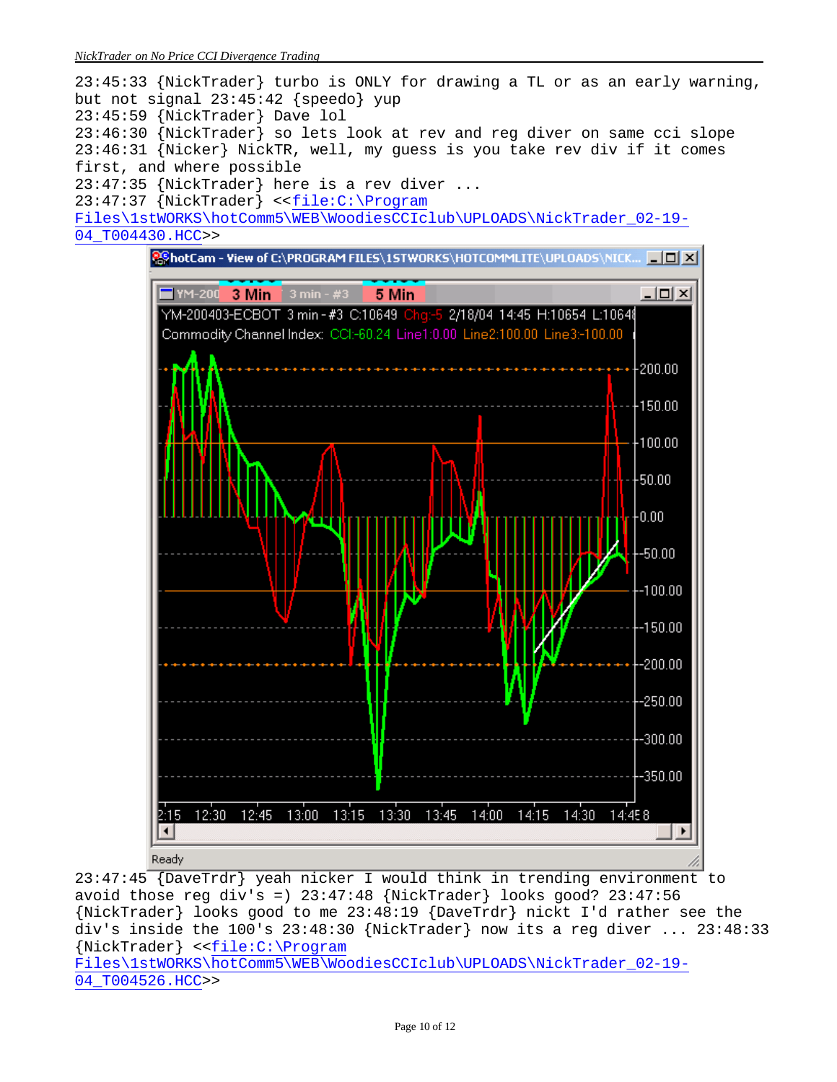



23:47:45 {DaveTrdr} yeah nicker I would think in trending environment to avoid those reg div's =)  $23:47:48$  {NickTrader} looks good?  $23:47:56$ {NickTrader} looks good to me 23:48:19 {DaveTrdr} nickt I'd rather see the div's inside the 100's 23:48:30 {NickTrader} now its a reg diver ... 23:48:33 {NickTrader} <<file:C:\Program Files\1stWORKS\hotComm5\WEB\WoodiesCCIclub\UPLOADS\NickTrader\_02-19- 04\_T004526.HCC>>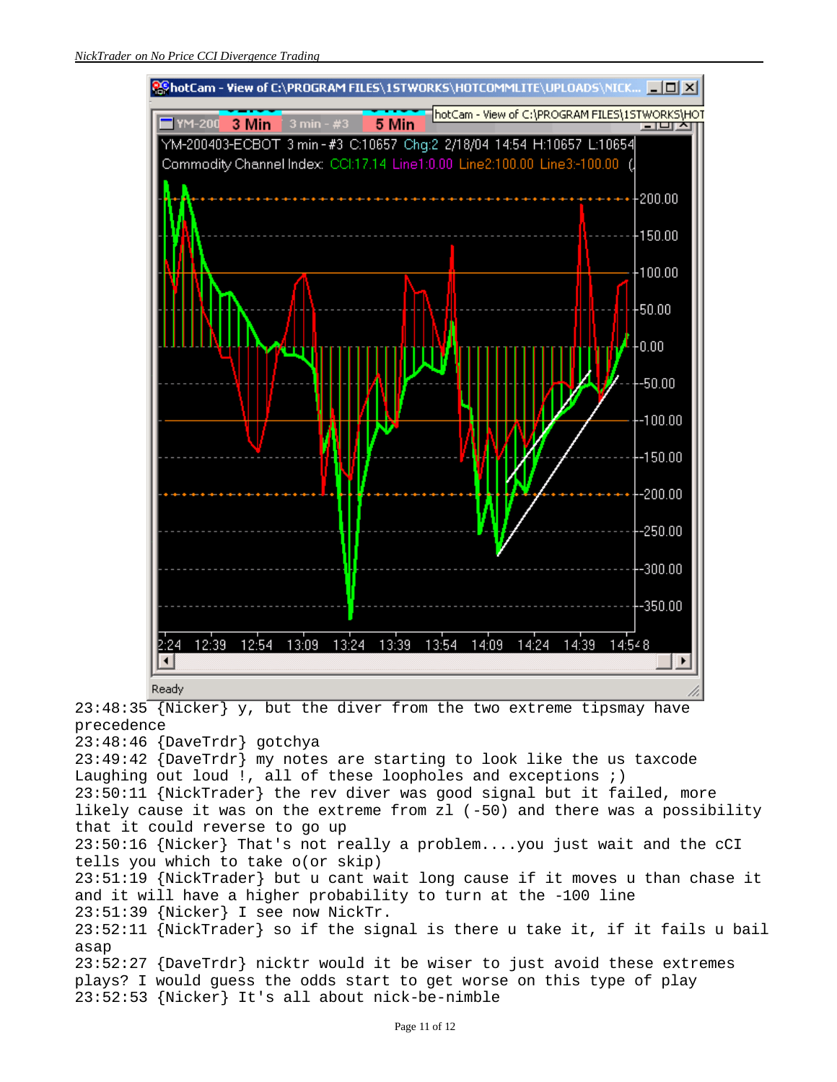

23:48:35  $\overline{\{Nicker\}}$  y, but the diver from the two extreme tipsmay have precedence

23:48:46 {DaveTrdr} gotchya

23:49:42 {DaveTrdr} my notes are starting to look like the us taxcode Laughing out loud !, all of these loopholes and exceptions ;) 23:50:11 {NickTrader} the rev diver was good signal but it failed, more likely cause it was on the extreme from zl (-50) and there was a possibility that it could reverse to go up 23:50:16 {Nicker} That's not really a problem....you just wait and the cCI tells you which to take o(or skip)

23:51:19 {NickTrader} but u cant wait long cause if it moves u than chase it and it will have a higher probability to turn at the -100 line 23:51:39 {Nicker} I see now NickTr.

23:52:11 {NickTrader} so if the signal is there u take it, if it fails u bail asap

23:52:27 {DaveTrdr} nicktr would it be wiser to just avoid these extremes plays? I would guess the odds start to get worse on this type of play 23:52:53 {Nicker} It's all about nick-be-nimble